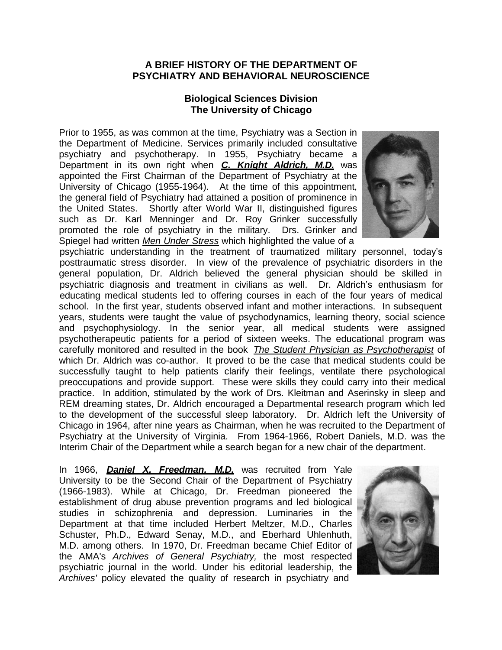## **A BRIEF HISTORY OF THE DEPARTMENT OF PSYCHIATRY AND BEHAVIORAL NEUROSCIENCE**

## **Biological Sciences Division The University of Chicago**

Prior to 1955, as was common at the time, Psychiatry was a Section in the Department of Medicine. Services primarily included consultative psychiatry and psychotherapy. In 1955, Psychiatry became a Department in its own right when *C. Knight Aldrich, M.D.* was appointed the First Chairman of the Department of Psychiatry at the University of Chicago (1955-1964). At the time of this appointment, the general field of Psychiatry had attained a position of prominence in the United States. Shortly after World War II, distinguished figures such as Dr. Karl Menninger and Dr. Roy Grinker successfully promoted the role of psychiatry in the military. Drs. Grinker and Spiegel had written *Men Under Stress* which highlighted the value of a



psychiatric understanding in the treatment of traumatized military personnel, today's posttraumatic stress disorder. In view of the prevalence of psychiatric disorders in the general population, Dr. Aldrich believed the general physician should be skilled in psychiatric diagnosis and treatment in civilians as well. Dr. Aldrich's enthusiasm for educating medical students led to offering courses in each of the four years of medical school. In the first year, students observed infant and mother interactions. In subsequent years, students were taught the value of psychodynamics, learning theory, social science and psychophysiology. In the senior year, all medical students were assigned psychotherapeutic patients for a period of sixteen weeks. The educational program was carefully monitored and resulted in the book *The Student Physician as Psychotherapist* of which Dr. Aldrich was co-author. It proved to be the case that medical students could be successfully taught to help patients clarify their feelings, ventilate there psychological preoccupations and provide support. These were skills they could carry into their medical practice. In addition, stimulated by the work of Drs. Kleitman and Aserinsky in sleep and REM dreaming states, Dr. Aldrich encouraged a Departmental research program which led to the development of the successful sleep laboratory. Dr. Aldrich left the University of Chicago in 1964, after nine years as Chairman, when he was recruited to the Department of Psychiatry at the University of Virginia. From 1964-1966, Robert Daniels, M.D. was the Interim Chair of the Department while a search began for a new chair of the department.

In 1966, *Daniel X. Freedman, M.D.* was recruited from Yale University to be the Second Chair of the Department of Psychiatry (1966-1983). While at Chicago, Dr. Freedman pioneered the establishment of drug abuse prevention programs and led biological studies in schizophrenia and depression. Luminaries in the Department at that time included Herbert Meltzer, M.D., Charles Schuster, Ph.D., Edward Senay, M.D., and Eberhard Uhlenhuth, M.D. among others. In 1970, Dr. Freedman became Chief Editor of the AMA's *Archives of General Psychiatry,* the most respected psychiatric journal in the world. Under his editorial leadership, the *Archives'* policy elevated the quality of research in psychiatry and

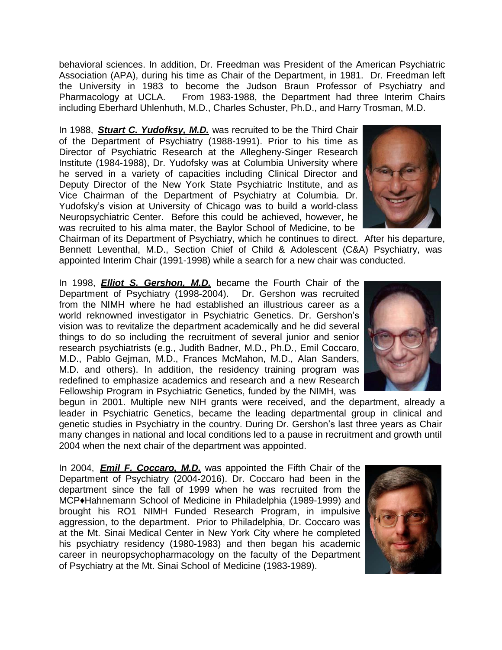behavioral sciences. In addition, Dr. Freedman was President of the American Psychiatric Association (APA), during his time as Chair of the Department, in 1981. Dr. Freedman left the University in 1983 to become the Judson Braun Professor of Psychiatry and Pharmacology at UCLA. From 1983-1988, the Department had three Interim Chairs including Eberhard Uhlenhuth, M.D., Charles Schuster, Ph.D., and Harry Trosman, M.D.

In 1988, *Stuart C. Yudofksy, M.D.* was recruited to be the Third Chair of the Department of Psychiatry (1988-1991). Prior to his time as Director of Psychiatric Research at the Allegheny-Singer Research Institute (1984-1988), Dr. Yudofsky was at Columbia University where he served in a variety of capacities including Clinical Director and Deputy Director of the New York State Psychiatric Institute, and as Vice Chairman of the Department of Psychiatry at Columbia. Dr. Yudofsky's vision at University of Chicago was to build a world-class Neuropsychiatric Center. Before this could be achieved, however, he was recruited to his alma mater, the Baylor School of Medicine, to be



Chairman of its Department of Psychiatry, which he continues to direct. After his departure, Bennett Leventhal, M.D., Section Chief of Child & Adolescent (C&A) Psychiatry, was appointed Interim Chair (1991-1998) while a search for a new chair was conducted.

In 1998, *Elliot S. Gershon, M.D.* became the Fourth Chair of the Department of Psychiatry (1998-2004). Dr. Gershon was recruited from the NIMH where he had established an illustrious career as a world reknowned investigator in Psychiatric Genetics. Dr. Gershon's vision was to revitalize the department academically and he did several things to do so including the recruitment of several junior and senior research psychiatrists (e.g., Judith Badner, M.D., Ph.D., Emil Coccaro, M.D., Pablo Gejman, M.D., Frances McMahon, M.D., Alan Sanders, M.D. and others). In addition, the residency training program was redefined to emphasize academics and research and a new Research Fellowship Program in Psychiatric Genetics, funded by the NIMH, was



begun in 2001. Multiple new NIH grants were received, and the department, already a leader in Psychiatric Genetics, became the leading departmental group in clinical and genetic studies in Psychiatry in the country. During Dr. Gershon's last three years as Chair many changes in national and local conditions led to a pause in recruitment and growth until 2004 when the next chair of the department was appointed.

In 2004, *Emil F. Coccaro, M.D.* was appointed the Fifth Chair of the Department of Psychiatry (2004-2016). Dr. Coccaro had been in the department since the fall of 1999 when he was recruited from the MCP♦Hahnemann School of Medicine in Philadelphia (1989-1999) and brought his RO1 NIMH Funded Research Program, in impulsive aggression, to the department. Prior to Philadelphia, Dr. Coccaro was at the Mt. Sinai Medical Center in New York City where he completed his psychiatry residency (1980-1983) and then began his academic career in neuropsychopharmacology on the faculty of the Department of Psychiatry at the Mt. Sinai School of Medicine (1983-1989).